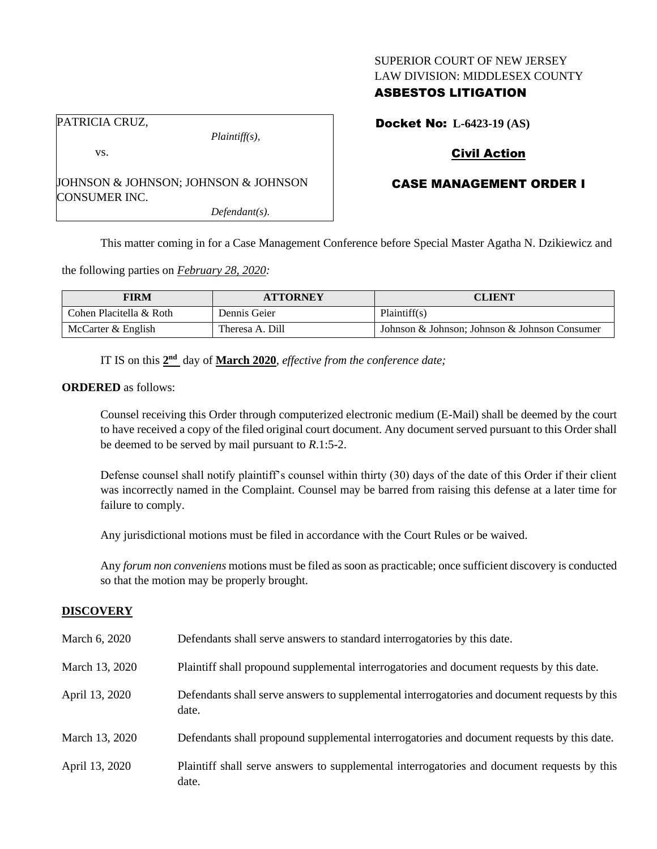### SUPERIOR COURT OF NEW JERSEY LAW DIVISION: MIDDLESEX COUNTY

## ASBESTOS LITIGATION

PATRICIA CRUZ,

vs.

JOHNSON & JOHNSON; JOHNSON & JOHNSON CONSUMER INC.

*Defendant(s).*

*Plaintiff(s),*

Docket No: **L-6423-19 (AS)**

# Civil Action

# CASE MANAGEMENT ORDER I

This matter coming in for a Case Management Conference before Special Master Agatha N. Dzikiewicz and

the following parties on *February 28, 2020:*

| <b>FIRM</b>             | <b>ATTORNEY</b> | <b>CLIENT</b>                                 |
|-------------------------|-----------------|-----------------------------------------------|
| Cohen Placitella & Roth | Dennis Geier    | Plaintiff(s)                                  |
| McCarter & English      | Theresa A. Dill | Johnson & Johnson; Johnson & Johnson Consumer |

IT IS on this  $2<sup>nd</sup>$  day of **March** 2020, *effective from the conference date*;

### **ORDERED** as follows:

Counsel receiving this Order through computerized electronic medium (E-Mail) shall be deemed by the court to have received a copy of the filed original court document. Any document served pursuant to this Order shall be deemed to be served by mail pursuant to *R*.1:5-2.

Defense counsel shall notify plaintiff's counsel within thirty (30) days of the date of this Order if their client was incorrectly named in the Complaint. Counsel may be barred from raising this defense at a later time for failure to comply.

Any jurisdictional motions must be filed in accordance with the Court Rules or be waived.

Any *forum non conveniens* motions must be filed as soon as practicable; once sufficient discovery is conducted so that the motion may be properly brought.

## **DISCOVERY**

| March 6, 2020  | Defendants shall serve answers to standard interrogatories by this date.                              |
|----------------|-------------------------------------------------------------------------------------------------------|
| March 13, 2020 | Plaintiff shall propound supplemental interrogatories and document requests by this date.             |
| April 13, 2020 | Defendants shall serve answers to supplemental interrogatories and document requests by this<br>date. |
| March 13, 2020 | Defendants shall propound supplemental interrogatories and document requests by this date.            |
| April 13, 2020 | Plaintiff shall serve answers to supplemental interrogatories and document requests by this<br>date.  |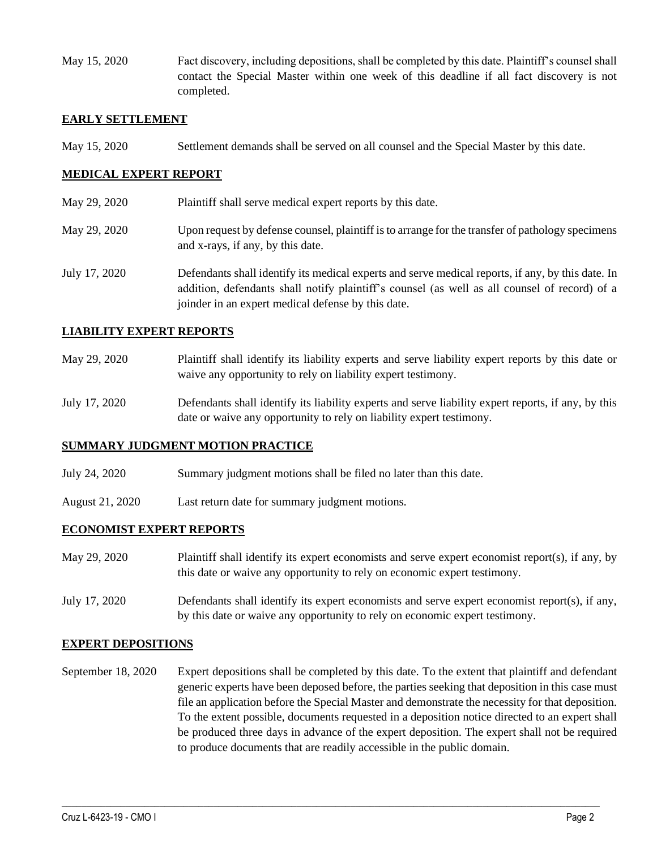May 15, 2020 Fact discovery, including depositions, shall be completed by this date. Plaintiff's counsel shall contact the Special Master within one week of this deadline if all fact discovery is not completed.

### **EARLY SETTLEMENT**

May 15, 2020 Settlement demands shall be served on all counsel and the Special Master by this date.

## **MEDICAL EXPERT REPORT**

- May 29, 2020 Plaintiff shall serve medical expert reports by this date.
- May 29, 2020 Upon request by defense counsel, plaintiff is to arrange for the transfer of pathology specimens and x-rays, if any, by this date.
- July 17, 2020 Defendants shall identify its medical experts and serve medical reports, if any, by this date. In addition, defendants shall notify plaintiff's counsel (as well as all counsel of record) of a joinder in an expert medical defense by this date.

### **LIABILITY EXPERT REPORTS**

- May 29, 2020 Plaintiff shall identify its liability experts and serve liability expert reports by this date or waive any opportunity to rely on liability expert testimony.
- July 17, 2020 Defendants shall identify its liability experts and serve liability expert reports, if any, by this date or waive any opportunity to rely on liability expert testimony.

### **SUMMARY JUDGMENT MOTION PRACTICE**

- July 24, 2020 Summary judgment motions shall be filed no later than this date.
- August 21, 2020 Last return date for summary judgment motions.

## **ECONOMIST EXPERT REPORTS**

- May 29, 2020 Plaintiff shall identify its expert economists and serve expert economist report(s), if any, by this date or waive any opportunity to rely on economic expert testimony.
- July 17, 2020 Defendants shall identify its expert economists and serve expert economist report(s), if any, by this date or waive any opportunity to rely on economic expert testimony.

### **EXPERT DEPOSITIONS**

September 18, 2020 Expert depositions shall be completed by this date. To the extent that plaintiff and defendant generic experts have been deposed before, the parties seeking that deposition in this case must file an application before the Special Master and demonstrate the necessity for that deposition. To the extent possible, documents requested in a deposition notice directed to an expert shall be produced three days in advance of the expert deposition. The expert shall not be required to produce documents that are readily accessible in the public domain.

 $\_$  , and the set of the set of the set of the set of the set of the set of the set of the set of the set of the set of the set of the set of the set of the set of the set of the set of the set of the set of the set of th